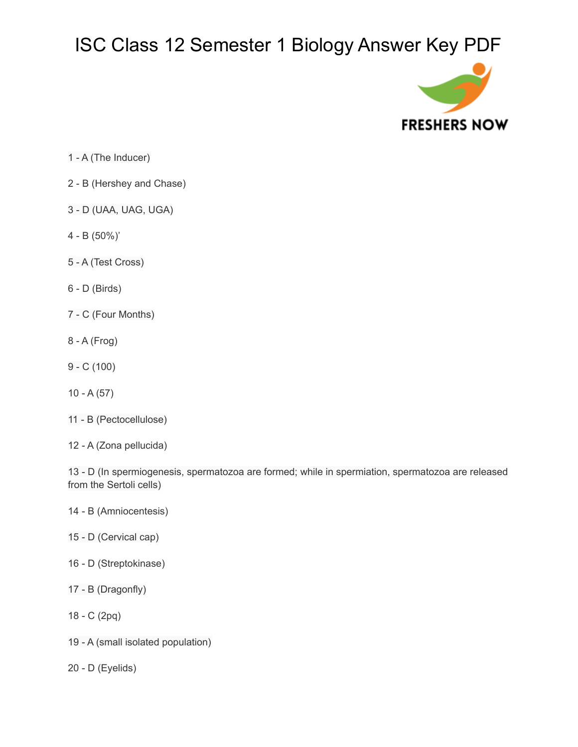

- 1 A (The Inducer)
- 2 B (Hershey and Chase)
- 3 D (UAA, UAG, UGA)
- 4 B (50%)'
- 5 A (Test Cross)
- 6 D (Birds)
- 7 C (Four Months)
- 8 A (Frog)
- 9 C (100)
- 10 A (57)
- 11 B (Pectocellulose)
- 12 A (Zona pellucida)

13 - D (In spermiogenesis, spermatozoa are formed; while in spermiation, spermatozoa are released from the Sertoli cells)

- 14 B (Amniocentesis)
- 15 D (Cervical cap)
- 16 D (Streptokinase)
- 17 B (Dragonfly)
- 18 C (2pq)
- 19 A (small isolated population)
- 20 D (Eyelids)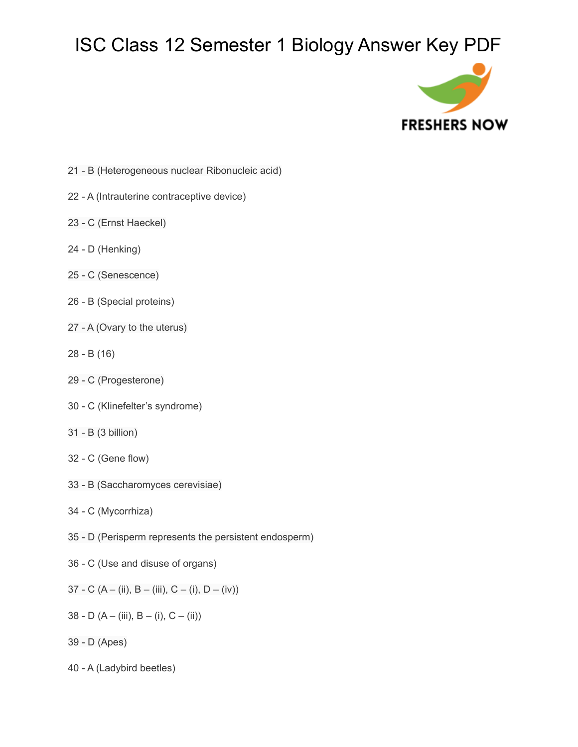

- 21 B (Heterogeneous nuclear Ribonucleic acid)
- 22 A (Intrauterine contraceptive device)
- 23 C (Ernst Haeckel)
- 24 D (Henking)
- 25 C (Senescence)
- 26 B (Special proteins)
- 27 A (Ovary to the uterus)
- 28 B (16)
- 29 C (Progesterone)
- 30 C (Klinefelter's syndrome)
- 31 B (3 billion)
- 32 C (Gene flow)
- 33 B (Saccharomyces cerevisiae)
- 34 C (Mycorrhiza)
- 35 D (Perisperm represents the persistent endosperm)
- 36 C (Use and disuse of organs)
- 37 C (A (ii), B (iii), C (i), D (iv))
- 38 D (A (iii), B (i), C (ii))
- 39 D (Apes)
- 40 A (Ladybird beetles)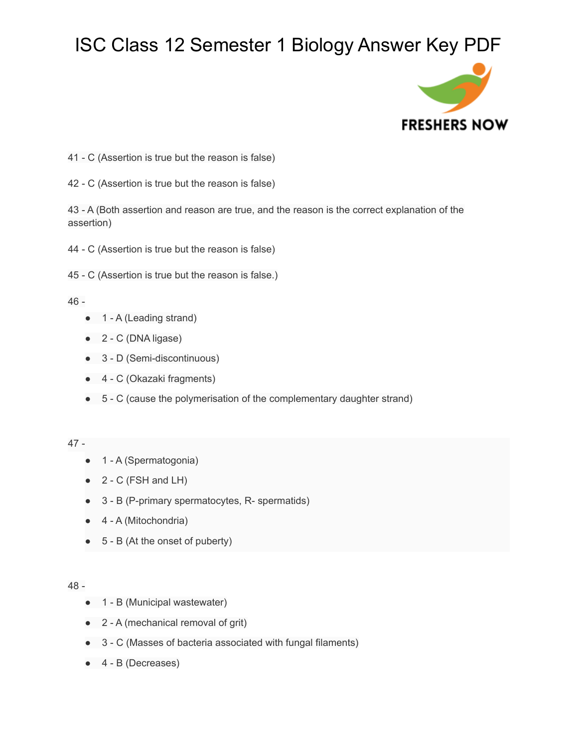

- 41 C (Assertion is true but the reason is false)
- 42 C (Assertion is true but the reason is false)

43 - A (Both assertion and reason are true, and the reason is the correct explanation of the assertion)

44 - C (Assertion is true but the reason is false)

45 - C (Assertion is true but the reason is false.)

## 46 -

- 1 A (Leading strand)
- 2 C (DNA ligase)
- 3 D (Semi-discontinuous)
- 4 C (Okazaki fragments)
- 5 C (cause the polymerisation of the complementary daughter strand)

## 47 -

- 1 A (Spermatogonia)
- $\bullet$  2 C (FSH and LH)
- 3 B (P-primary spermatocytes, R- spermatids)
- 4 A (Mitochondria)
- 5 B (At the onset of puberty)

## 48 -

- 1 B (Municipal wastewater)
- 2 A (mechanical removal of grit)
- 3 C (Masses of bacteria associated with fungal filaments)
- 4 B (Decreases)